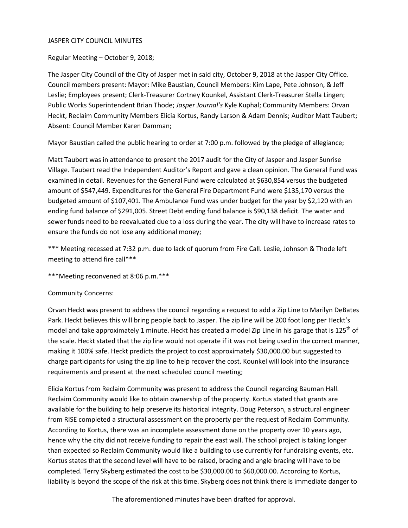## JASPER CITY COUNCIL MINUTES

Regular Meeting – October 9, 2018;

The Jasper City Council of the City of Jasper met in said city, October 9, 2018 at the Jasper City Office. Council members present: Mayor: Mike Baustian, Council Members: Kim Lape, Pete Johnson, & Jeff Leslie; Employees present; Clerk-Treasurer Cortney Kounkel, Assistant Clerk-Treasurer Stella Lingen; Public Works Superintendent Brian Thode; *Jasper Journal's* Kyle Kuphal; Community Members: Orvan Heckt, Reclaim Community Members Elicia Kortus, Randy Larson & Adam Dennis; Auditor Matt Taubert; Absent: Council Member Karen Damman;

Mayor Baustian called the public hearing to order at 7:00 p.m. followed by the pledge of allegiance;

Matt Taubert was in attendance to present the 2017 audit for the City of Jasper and Jasper Sunrise Village. Taubert read the Independent Auditor's Report and gave a clean opinion. The General Fund was examined in detail. Revenues for the General Fund were calculated at \$630,854 versus the budgeted amount of \$547,449. Expenditures for the General Fire Department Fund were \$135,170 versus the budgeted amount of \$107,401. The Ambulance Fund was under budget for the year by \$2,120 with an ending fund balance of \$291,005. Street Debt ending fund balance is \$90,138 deficit. The water and sewer funds need to be reevaluated due to a loss during the year. The city will have to increase rates to ensure the funds do not lose any additional money;

\*\*\* Meeting recessed at 7:32 p.m. due to lack of quorum from Fire Call. Leslie, Johnson & Thode left meeting to attend fire call\*\*\*

\*\*\*Meeting reconvened at 8:06 p.m.\*\*\*

Community Concerns:

Orvan Heckt was present to address the council regarding a request to add a Zip Line to Marilyn DeBates Park. Heckt believes this will bring people back to Jasper. The zip line will be 200 foot long per Heckt's model and take approximately 1 minute. Heckt has created a model Zip Line in his garage that is 125<sup>th</sup> of the scale. Heckt stated that the zip line would not operate if it was not being used in the correct manner, making it 100% safe. Heckt predicts the project to cost approximately \$30,000.00 but suggested to charge participants for using the zip line to help recover the cost. Kounkel will look into the insurance requirements and present at the next scheduled council meeting;

Elicia Kortus from Reclaim Community was present to address the Council regarding Bauman Hall. Reclaim Community would like to obtain ownership of the property. Kortus stated that grants are available for the building to help preserve its historical integrity. Doug Peterson, a structural engineer from RISE completed a structural assessment on the property per the request of Reclaim Community. According to Kortus, there was an incomplete assessment done on the property over 10 years ago, hence why the city did not receive funding to repair the east wall. The school project is taking longer than expected so Reclaim Community would like a building to use currently for fundraising events, etc. Kortus states that the second level will have to be raised, bracing and angle bracing will have to be completed. Terry Skyberg estimated the cost to be \$30,000.00 to \$60,000.00. According to Kortus, liability is beyond the scope of the risk at this time. Skyberg does not think there is immediate danger to

The aforementioned minutes have been drafted for approval.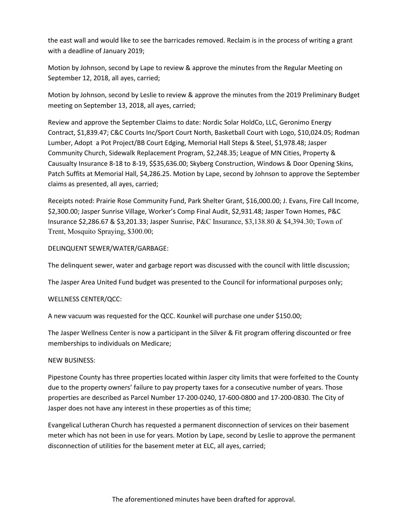the east wall and would like to see the barricades removed. Reclaim is in the process of writing a grant with a deadline of January 2019;

Motion by Johnson, second by Lape to review & approve the minutes from the Regular Meeting on September 12, 2018, all ayes, carried;

Motion by Johnson, second by Leslie to review & approve the minutes from the 2019 Preliminary Budget meeting on September 13, 2018, all ayes, carried;

Review and approve the September Claims to date: Nordic Solar HoldCo, LLC, Geronimo Energy Contract, \$1,839.47; C&C Courts Inc/Sport Court North, Basketball Court with Logo, \$10,024.05; Rodman Lumber, Adopt a Pot Project/BB Court Edging, Memorial Hall Steps & Steel, \$1,978.48; Jasper Community Church, Sidewalk Replacement Program, \$2,248.35; League of MN Cities, Property & Causualty Insurance 8-18 to 8-19, \$\$35,636.00; Skyberg Construction, Windows & Door Opening Skins, Patch Suffits at Memorial Hall, \$4,286.25. Motion by Lape, second by Johnson to approve the September claims as presented, all ayes, carried;

Receipts noted: Prairie Rose Community Fund, Park Shelter Grant, \$16,000.00; J. Evans, Fire Call Income, \$2,300.00; Jasper Sunrise Village, Worker's Comp Final Audit, \$2,931.48; Jasper Town Homes, P&C Insurance \$2,286.67 & \$3,201.33; Jasper Sunrise, P&C Insurance, \$3,138.80 & \$4,394.30; Town of Trent, Mosquito Spraying, \$300.00;

# DELINQUENT SEWER/WATER/GARBAGE:

The delinquent sewer, water and garbage report was discussed with the council with little discussion;

The Jasper Area United Fund budget was presented to the Council for informational purposes only;

### WELLNESS CENTER/QCC:

A new vacuum was requested for the QCC. Kounkel will purchase one under \$150.00;

The Jasper Wellness Center is now a participant in the Silver & Fit program offering discounted or free memberships to individuals on Medicare;

### NEW BUSINESS:

Pipestone County has three properties located within Jasper city limits that were forfeited to the County due to the property owners' failure to pay property taxes for a consecutive number of years. Those properties are described as Parcel Number 17-200-0240, 17-600-0800 and 17-200-0830. The City of Jasper does not have any interest in these properties as of this time;

Evangelical Lutheran Church has requested a permanent disconnection of services on their basement meter which has not been in use for years. Motion by Lape, second by Leslie to approve the permanent disconnection of utilities for the basement meter at ELC, all ayes, carried;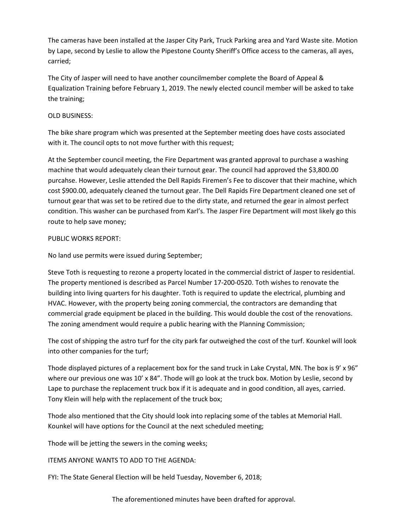The cameras have been installed at the Jasper City Park, Truck Parking area and Yard Waste site. Motion by Lape, second by Leslie to allow the Pipestone County Sheriff's Office access to the cameras, all ayes, carried;

The City of Jasper will need to have another councilmember complete the Board of Appeal & Equalization Training before February 1, 2019. The newly elected council member will be asked to take the training;

# OLD BUSINESS:

The bike share program which was presented at the September meeting does have costs associated with it. The council opts to not move further with this request;

At the September council meeting, the Fire Department was granted approval to purchase a washing machine that would adequately clean their turnout gear. The council had approved the \$3,800.00 purcahse. However, Leslie attended the Dell Rapids Firemen's Fee to discover that their machine, which cost \$900.00, adequately cleaned the turnout gear. The Dell Rapids Fire Department cleaned one set of turnout gear that was set to be retired due to the dirty state, and returned the gear in almost perfect condition. This washer can be purchased from Karl's. The Jasper Fire Department will most likely go this route to help save money;

# PUBLIC WORKS REPORT:

No land use permits were issued during September;

Steve Toth is requesting to rezone a property located in the commercial district of Jasper to residential. The property mentioned is described as Parcel Number 17-200-0520. Toth wishes to renovate the building into living quarters for his daughter. Toth is required to update the electrical, plumbing and HVAC. However, with the property being zoning commercial, the contractors are demanding that commercial grade equipment be placed in the building. This would double the cost of the renovations. The zoning amendment would require a public hearing with the Planning Commission;

The cost of shipping the astro turf for the city park far outweighed the cost of the turf. Kounkel will look into other companies for the turf;

Thode displayed pictures of a replacement box for the sand truck in Lake Crystal, MN. The box is 9' x 96" where our previous one was 10' x 84". Thode will go look at the truck box. Motion by Leslie, second by Lape to purchase the replacement truck box if it is adequate and in good condition, all ayes, carried. Tony Klein will help with the replacement of the truck box;

Thode also mentioned that the City should look into replacing some of the tables at Memorial Hall. Kounkel will have options for the Council at the next scheduled meeting;

Thode will be jetting the sewers in the coming weeks;

ITEMS ANYONE WANTS TO ADD TO THE AGENDA:

FYI: The State General Election will be held Tuesday, November 6, 2018;

The aforementioned minutes have been drafted for approval.